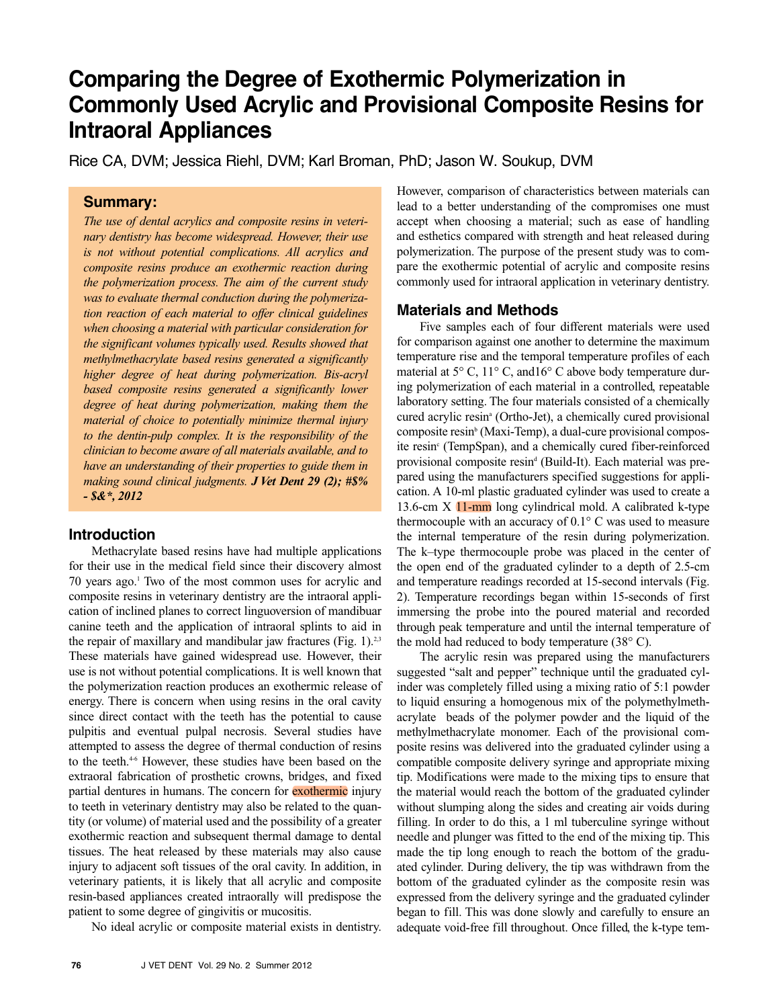# Comparing the Degree of Exothermic Polymerization in **Commonly Used Acrylic and Provisional Composite Resins for Intraoral Appliances**

Rice CA, DVM; Jessica Riehl, DVM; Karl Broman, PhD; Jason W. Soukup, DVM

## **Summary:**

*The use of dental acrylics and composite resins in veterinary dentistry has become widespread. However, their use is not without potential complications. All acrylics and composite resins produce an exothermic reaction during the polymerization process. The aim of the current study was to evaluate thermal conduction during the polymerization reaction of each material to offer clinical guidelines when choosing a material with particular consideration for the significant volumes typically used. Results showed that methylmethacrylate based resins generated a significantly higher degree of heat during polymerization. Bis-acryl based composite resins generated a significantly lower degree of heat during polymerization, making them the material of choice to potentially minimize thermal injury to the dentin-pulp complex. It is the responsibility of the clinician to become aware of all materials available, and to have an understanding of their properties to guide them in making sound clinical judgments. J Vet Dent 29 (2); #\$% - \$&\*, 2012*

#### **Introduction**

 Methacrylate based resins have had multiple applications for their use in the medical field since their discovery almost 70 years ago.1 Two of the most common uses for acrylic and composite resins in veterinary dentistry are the intraoral application of inclined planes to correct linguoversion of mandibuar canine teeth and the application of intraoral splints to aid in the repair of maxillary and mandibular jaw fractures (Fig. 1).<sup>2,3</sup> These materials have gained widespread use. However, their use is not without potential complications. It is well known that the polymerization reaction produces an exothermic release of energy. There is concern when using resins in the oral cavity since direct contact with the teeth has the potential to cause pulpitis and eventual pulpal necrosis. Several studies have attempted to assess the degree of thermal conduction of resins to the teeth.<sup>4-6</sup> However, these studies have been based on the extraoral fabrication of prosthetic crowns, bridges, and fixed partial dentures in humans. The concern for **exothermic** injury to teeth in veterinary dentistry may also be related to the quantity (or volume) of material used and the possibility of a greater exothermic reaction and subsequent thermal damage to dental tissues. The heat released by these materials may also cause injury to adjacent soft tissues of the oral cavity. In addition, in veterinary patients, it is likely that all acrylic and composite resin-based appliances created intraorally will predispose the patient to some degree of gingivitis or mucositis.

No ideal acrylic or composite material exists in dentistry.

However, comparison of characteristics between materials can lead to a better understanding of the compromises one must accept when choosing a material; such as ease of handling and esthetics compared with strength and heat released during polymerization. The purpose of the present study was to compare the exothermic potential of acrylic and composite resins commonly used for intraoral application in veterinary dentistry.

#### **Materials and Methods**

 Five samples each of four different materials were used for comparison against one another to determine the maximum temperature rise and the temporal temperature profiles of each material at 5° C, 11° C, and 16° C above body temperature during polymerization of each material in a controlled, repeatable laboratory setting. The four materials consisted of a chemically cured acrylic resina (Ortho-Jet), a chemically cured provisional composite resin<sup>b</sup> (Maxi-Temp), a dual-cure provisional composite resin<sup>c</sup> (TempSpan), and a chemically cured fiber-reinforced provisional composite resin<sup>d</sup> (Build-It). Each material was prepared using the manufacturers specified suggestions for application. A 10-ml plastic graduated cylinder was used to create a 13.6-cm X 11-mm long cylindrical mold. A calibrated k-type thermocouple with an accuracy of  $0.1^{\circ}$  C was used to measure the internal temperature of the resin during polymerization. The k–type thermocouple probe was placed in the center of the open end of the graduated cylinder to a depth of 2.5-cm and temperature readings recorded at 15-second intervals (Fig. 2). Temperature recordings began within 15-seconds of first immersing the probe into the poured material and recorded through peak temperature and until the internal temperature of the mold had reduced to body temperature  $(38^{\circ} \text{ C})$ .

 The acrylic resin was prepared using the manufacturers suggested "salt and pepper" technique until the graduated cylinder was completely filled using a mixing ratio of 5:1 powder to liquid ensuring a homogenous mix of the polymethylmethacrylate beads of the polymer powder and the liquid of the methylmethacrylate monomer. Each of the provisional composite resins was delivered into the graduated cylinder using a compatible composite delivery syringe and appropriate mixing tip. Modifications were made to the mixing tips to ensure that the material would reach the bottom of the graduated cylinder without slumping along the sides and creating air voids during filling. In order to do this, a 1 ml tuberculine syringe without needle and plunger was fitted to the end of the mixing tip. This made the tip long enough to reach the bottom of the graduated cylinder. During delivery, the tip was withdrawn from the bottom of the graduated cylinder as the composite resin was expressed from the delivery syringe and the graduated cylinder began to fill. This was done slowly and carefully to ensure an adequate void-free fill throughout. Once filled, the k-type tem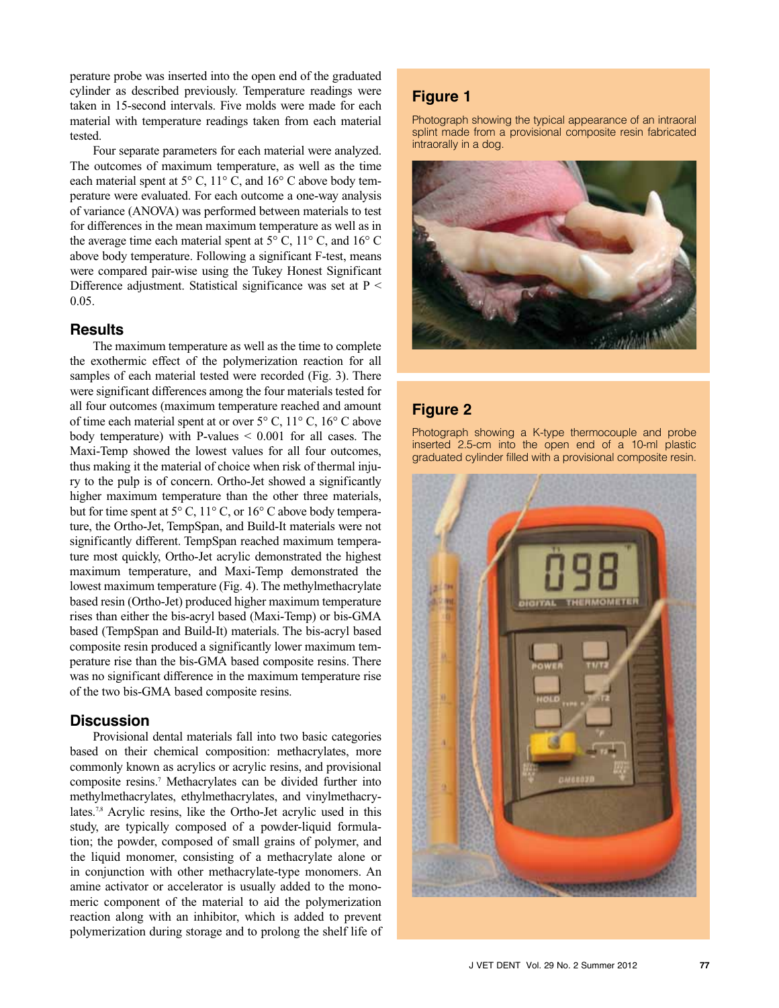perature probe was inserted into the open end of the graduated cylinder as described previously. Temperature readings were taken in 15-second intervals. Five molds were made for each material with temperature readings taken from each material tested.

 Four separate parameters for each material were analyzed. The outcomes of maximum temperature, as well as the time each material spent at 5° C, 11° C, and 16° C above body temperature were evaluated. For each outcome a one-way analysis of variance (ANOVA) was performed between materials to test for differences in the mean maximum temperature as well as in the average time each material spent at  $5^{\circ}$  C,  $11^{\circ}$  C, and  $16^{\circ}$  C above body temperature. Following a significant F-test, means were compared pair-wise using the Tukey Honest Significant Difference adjustment. Statistical significance was set at P < 0.05.

### **Results**

 The maximum temperature as well as the time to complete the exothermic effect of the polymerization reaction for all samples of each material tested were recorded (Fig. 3). There were significant differences among the four materials tested for all four outcomes (maximum temperature reached and amount of time each material spent at or over 5° C, 11° C, 16° C above body temperature) with P-values  $\leq 0.001$  for all cases. The Maxi-Temp showed the lowest values for all four outcomes, thus making it the material of choice when risk of thermal injury to the pulp is of concern. Ortho-Jet showed a significantly higher maximum temperature than the other three materials, but for time spent at 5° C, 11° C, or 16° C above body temperature, the Ortho-Jet, TempSpan, and Build-It materials were not significantly different. TempSpan reached maximum temperature most quickly, Ortho-Jet acrylic demonstrated the highest maximum temperature, and Maxi-Temp demonstrated the lowest maximum temperature (Fig. 4). The methylmethacrylate based resin (Ortho-Jet) produced higher maximum temperature rises than either the bis-acryl based (Maxi-Temp) or bis-GMA based (TempSpan and Build-It) materials. The bis-acryl based composite resin produced a significantly lower maximum temperature rise than the bis-GMA based composite resins. There was no significant difference in the maximum temperature rise of the two bis-GMA based composite resins.

### **Discussion**

 Provisional dental materials fall into two basic categories based on their chemical composition: methacrylates, more commonly known as acrylics or acrylic resins, and provisional composite resins.7 Methacrylates can be divided further into methylmethacrylates, ethylmethacrylates, and vinylmethacrylates.7,8 Acrylic resins, like the Ortho-Jet acrylic used in this study, are typically composed of a powder-liquid formulation; the powder, composed of small grains of polymer, and the liquid monomer, consisting of a methacrylate alone or in conjunction with other methacrylate-type monomers. An amine activator or accelerator is usually added to the monomeric component of the material to aid the polymerization reaction along with an inhibitor, which is added to prevent polymerization during storage and to prolong the shelf life of

# **Figure 1**

Photograph showing the typical appearance of an intraoral splint made from a provisional composite resin fabricated intraorally in a dog.



# **Figure 2**

Photograph showing a K-type thermocouple and probe inserted 2.5-cm into the open end of a 10-ml plastic graduated cylinder filled with a provisional composite resin.

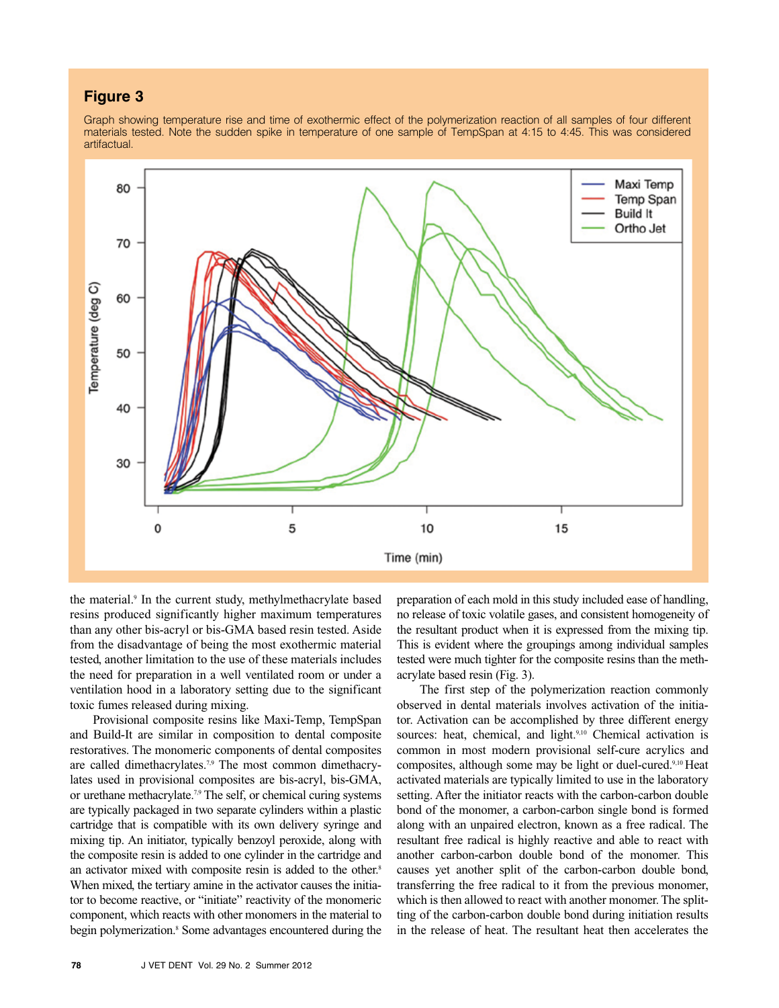# **Figure 3**

Graph showing temperature rise and time of exothermic effect of the polymerization reaction of all samples of four different materials tested. Note the sudden spike in temperature of one sample of TempSpan at 4:15 to 4:45. This was considered artifactual



the material.<sup>9</sup> In the current study, methylmethacrylate based resins produced significantly higher maximum temperatures than any other bis-acryl or bis-GMA based resin tested. Aside from the disadvantage of being the most exothermic material tested, another limitation to the use of these materials includes the need for preparation in a well ventilated room or under a ventilation hood in a laboratory setting due to the significant toxic fumes released during mixing.

 Provisional composite resins like Maxi-Temp, TempSpan and Build-It are similar in composition to dental composite restoratives. The monomeric components of dental composites are called dimethacrylates.<sup>7,9</sup> The most common dimethacrylates used in provisional composites are bis-acryl, bis-GMA, or urethane methacrylate.<sup>7,9</sup> The self, or chemical curing systems are typically packaged in two separate cylinders within a plastic cartridge that is compatible with its own delivery syringe and mixing tip. An initiator, typically benzoyl peroxide, along with the composite resin is added to one cylinder in the cartridge and an activator mixed with composite resin is added to the other.<sup>8</sup> When mixed, the tertiary amine in the activator causes the initiator to become reactive, or "initiate" reactivity of the monomeric component, which reacts with other monomers in the material to begin polymerization.<sup>8</sup> Some advantages encountered during the preparation of each mold in this study included ease of handling, no release of toxic volatile gases, and consistent homogeneity of the resultant product when it is expressed from the mixing tip. This is evident where the groupings among individual samples tested were much tighter for the composite resins than the methacrylate based resin (Fig. 3).

 The first step of the polymerization reaction commonly observed in dental materials involves activation of the initiator. Activation can be accomplished by three different energy sources: heat, chemical, and light.<sup>9,10</sup> Chemical activation is common in most modern provisional self-cure acrylics and composites, although some may be light or duel-cured.9,10 Heat activated materials are typically limited to use in the laboratory setting. After the initiator reacts with the carbon-carbon double bond of the monomer, a carbon-carbon single bond is formed along with an unpaired electron, known as a free radical. The resultant free radical is highly reactive and able to react with another carbon-carbon double bond of the monomer. This causes yet another split of the carbon-carbon double bond, transferring the free radical to it from the previous monomer, which is then allowed to react with another monomer. The splitting of the carbon-carbon double bond during initiation results in the release of heat. The resultant heat then accelerates the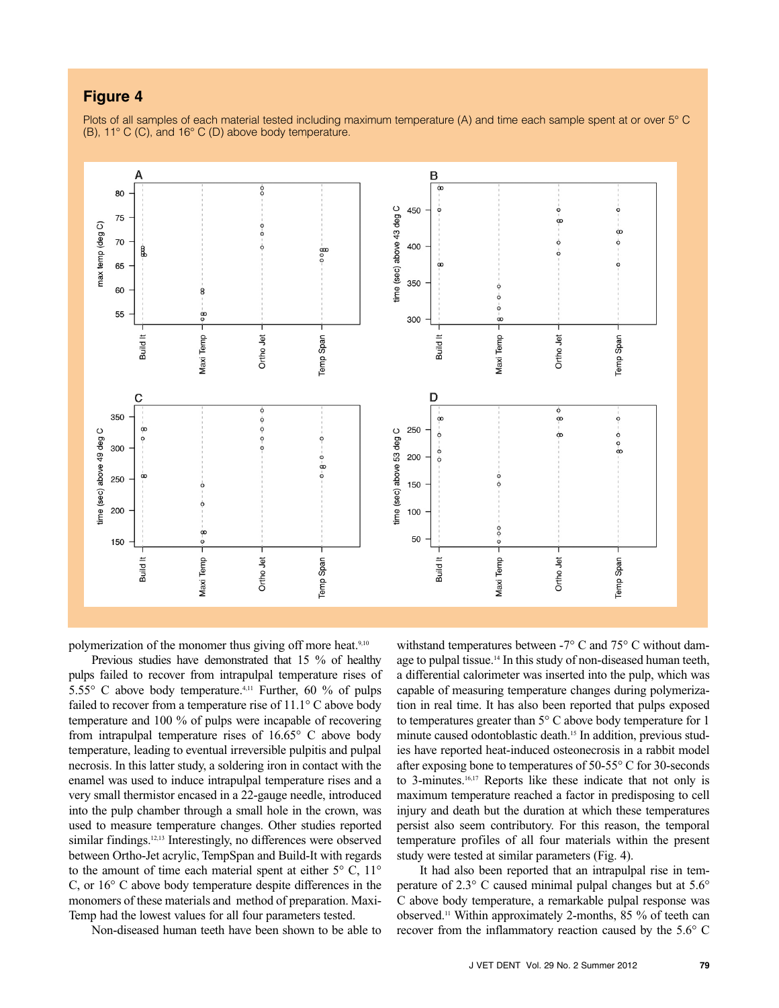## **Figure 4**

Plots of all samples of each material tested including maximum temperature (A) and time each sample spent at or over 5° C  $(B)$ , 11 $^{\circ}$  C (C), and 16 $^{\circ}$  C (D) above body temperature.



polymerization of the monomer thus giving off more heat.<sup>9,10</sup>

 Previous studies have demonstrated that 15 % of healthy pulps failed to recover from intrapulpal temperature rises of 5.55° C above body temperature.4,11 Further, 60 % of pulps failed to recover from a temperature rise of 11.1° C above body temperature and 100 % of pulps were incapable of recovering from intrapulpal temperature rises of 16.65° C above body temperature, leading to eventual irreversible pulpitis and pulpal necrosis. In this latter study, a soldering iron in contact with the enamel was used to induce intrapulpal temperature rises and a very small thermistor encased in a 22-gauge needle, introduced into the pulp chamber through a small hole in the crown, was used to measure temperature changes. Other studies reported similar findings.<sup>12,13</sup> Interestingly, no differences were observed between Ortho-Jet acrylic, TempSpan and Build-It with regards to the amount of time each material spent at either  $5^{\circ}$  C,  $11^{\circ}$ C, or 16° C above body temperature despite differences in the monomers of these materials and method of preparation. Maxi-Temp had the lowest values for all four parameters tested.

Non-diseased human teeth have been shown to be able to

withstand temperatures between -7° C and 75° C without damage to pulpal tissue.<sup>14</sup> In this study of non-diseased human teeth, a differential calorimeter was inserted into the pulp, which was capable of measuring temperature changes during polymerization in real time. It has also been reported that pulps exposed to temperatures greater than 5° C above body temperature for 1 minute caused odontoblastic death.15 In addition, previous studies have reported heat-induced osteonecrosis in a rabbit model after exposing bone to temperatures of 50-55° C for 30-seconds to 3-minutes.16,17 Reports like these indicate that not only is maximum temperature reached a factor in predisposing to cell injury and death but the duration at which these temperatures persist also seem contributory. For this reason, the temporal temperature profiles of all four materials within the present study were tested at similar parameters (Fig. 4).

 It had also been reported that an intrapulpal rise in temperature of 2.3° C caused minimal pulpal changes but at 5.6° C above body temperature, a remarkable pulpal response was observed.11 Within approximately 2-months, 85 % of teeth can recover from the inflammatory reaction caused by the 5.6° C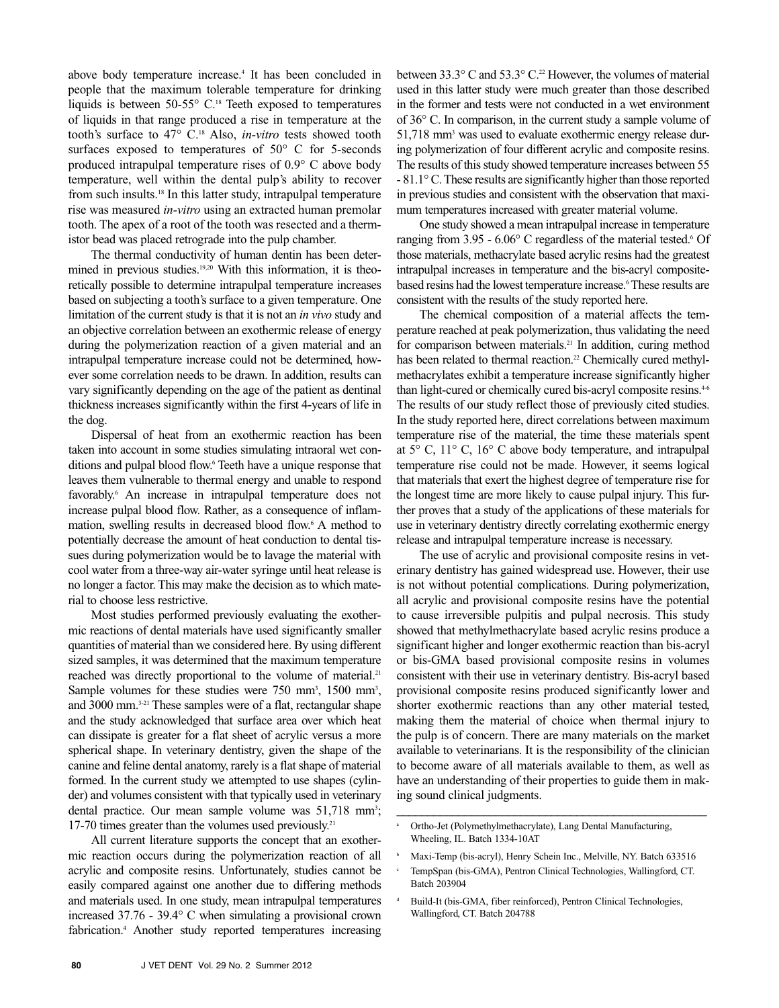above body temperature increase.4 It has been concluded in people that the maximum tolerable temperature for drinking liquids is between  $50-55^{\circ}$  C.<sup>18</sup> Teeth exposed to temperatures of liquids in that range produced a rise in temperature at the tooth's surface to 47° C.18 Also, *in-vitro* tests showed tooth surfaces exposed to temperatures of 50° C for 5-seconds produced intrapulpal temperature rises of 0.9° C above body temperature, well within the dental pulp's ability to recover from such insults.18 In this latter study, intrapulpal temperature rise was measured *in-vitro* using an extracted human premolar tooth. The apex of a root of the tooth was resected and a thermistor bead was placed retrograde into the pulp chamber.

 The thermal conductivity of human dentin has been determined in previous studies.<sup>19,20</sup> With this information, it is theoretically possible to determine intrapulpal temperature increases based on subjecting a tooth's surface to a given temperature. One limitation of the current study is that it is not an *in vivo* study and an objective correlation between an exothermic release of energy during the polymerization reaction of a given material and an intrapulpal temperature increase could not be determined, however some correlation needs to be drawn. In addition, results can vary significantly depending on the age of the patient as dentinal thickness increases significantly within the first 4-years of life in the dog.

 Dispersal of heat from an exothermic reaction has been taken into account in some studies simulating intraoral wet conditions and pulpal blood flow.<sup>6</sup> Teeth have a unique response that leaves them vulnerable to thermal energy and unable to respond favorably.<sup>6</sup> An increase in intrapulpal temperature does not increase pulpal blood flow. Rather, as a consequence of inflammation, swelling results in decreased blood flow.6 A method to potentially decrease the amount of heat conduction to dental tissues during polymerization would be to lavage the material with cool water from a three-way air-water syringe until heat release is no longer a factor. This may make the decision as to which material to choose less restrictive.

 Most studies performed previously evaluating the exothermic reactions of dental materials have used significantly smaller quantities of material than we considered here. By using different sized samples, it was determined that the maximum temperature reached was directly proportional to the volume of material.<sup>21</sup> Sample volumes for these studies were 750 mm<sup>3</sup>, 1500 mm<sup>3</sup>, and 3000 mm.3-21 These samples were of a flat, rectangular shape and the study acknowledged that surface area over which heat can dissipate is greater for a flat sheet of acrylic versus a more spherical shape. In veterinary dentistry, given the shape of the canine and feline dental anatomy, rarely is a flatshape of material formed. In the current study we attempted to use shapes (cylinder) and volumes consistent with that typically used in veterinary dental practice. Our mean sample volume was 51,718 mm<sup>3</sup>; 17-70 times greater than the volumes used previously.<sup>21</sup>

 All current literature supports the concept that an exothermic reaction occurs during the polymerization reaction of all acrylic and composite resins. Unfortunately, studies cannot be easily compared against one another due to differing methods and materials used. In one study, mean intrapulpal temperatures increased 37.76 - 39.4° C when simulating a provisional crown fabrication.4 Another study reported temperatures increasing between 33.3 $\degree$  C and 53.3 $\degree$  C.<sup>22</sup> However, the volumes of material used in this latter study were much greater than those described in the former and tests were not conducted in a wet environment of 36° C. In comparison, in the current study a sample volume of 51,718 mm3 was used to evaluate exothermic energy release during polymerization of four different acrylic and composite resins. The results of this study showed temperature increases between 55 - 81.1° C.These results are significantly higher than those reported in previous studies and consistent with the observation that maximum temperatures increased with greater material volume.

 One study showed a mean intrapulpal increase in temperature ranging from  $3.95 - 6.06^{\circ}$  C regardless of the material tested.<sup>6</sup> Of those materials, methacrylate based acrylic resins had the greatest intrapulpal increases in temperature and the bis-acryl compositebased resins had the lowest temperature increase.<sup>6</sup> These results are consistent with the results of the study reported here.

 The chemical composition of a material affects the temperature reached at peak polymerization, thus validating the need for comparison between materials.<sup>21</sup> In addition, curing method has been related to thermal reaction.<sup>22</sup> Chemically cured methylmethacrylates exhibit a temperature increase significantly higher than light-cured or chemically cured bis-acryl composite resins.<sup>4-6</sup> The results of our study reflect those of previously cited studies. In the study reported here, direct correlations between maximum temperature rise of the material, the time these materials spent at 5° C, 11° C, 16° C above body temperature, and intrapulpal temperature rise could not be made. However, it seems logical that materials that exert the highest degree of temperature rise for the longest time are more likely to cause pulpal injury. This further proves that a study of the applications of these materials for use in veterinary dentistry directly correlating exothermic energy release and intrapulpal temperature increase is necessary.

 The use of acrylic and provisional composite resins in veterinary dentistry has gained widespread use. However, their use is not without potential complications. During polymerization, all acrylic and provisional composite resins have the potential to cause irreversible pulpitis and pulpal necrosis. This study showed that methylmethacrylate based acrylic resins produce a significant higher and longer exothermic reaction than bis-acryl or bis-GMA based provisional composite resins in volumes consistent with their use in veterinary dentistry. Bis-acryl based provisional composite resins produced significantly lower and shorter exothermic reactions than any other material tested, making them the material of choice when thermal injury to the pulp is of concern. There are many materials on the market available to veterinarians. It is the responsibility of the clinician to become aware of all materials available to them, as well as have an understanding of their properties to guide them in making sound clinical judgments.

\_\_\_\_\_\_\_\_\_\_\_\_\_\_\_\_\_\_\_\_\_\_\_\_\_\_\_\_\_\_\_\_\_\_\_\_\_\_\_\_\_\_\_\_\_\_\_\_\_\_

a Ortho-Jet (Polymethylmethacrylate), Lang Dental Manufacturing, Wheeling, IL. Batch 1334-10AT

b Maxi-Temp (bis-acryl), Henry Schein Inc., Melville, NY. Batch 633516

c TempSpan (bis-GMA), Pentron Clinical Technologies, Wallingford, CT. Batch 203904

d Build-It (bis-GMA, fiber reinforced), Pentron Clinical Technologies, Wallingford, CT. Batch 204788